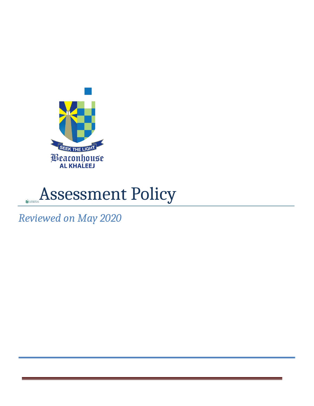



*Reviewed on May 2020*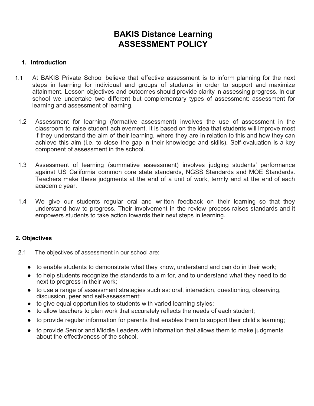# **BAKIS Distance Learning ASSESSMENT POLICY**

### **1. Introduction**

- 1.1 At BAKIS Private School believe that effective assessment is to inform planning for the next steps in learning for individual and groups of students in order to support and maximize attainment. Lesson objectives and outcomes should provide clarity in assessing progress. In our school we undertake two different but complementary types of assessment: assessment for learning and assessment of learning.
- 1.2 Assessment for learning (formative assessment) involves the use of assessment in the classroom to raise student achievement. It is based on the idea that students will improve most if they understand the aim of their learning, where they are in relation to this and how they can achieve this aim (i.e. to close the gap in their knowledge and skills). Self-evaluation is a key component of assessment in the school.
- 1.3 Assessment of learning (summative assessment) involves judging students' performance against US California common core state standards, NGSS Standards and MOE Standards. Teachers make these judgments at the end of a unit of work, termly and at the end of each academic year.
- 1.4 We give our students regular oral and written feedback on their learning so that they understand how to progress. Their involvement in the review process raises standards and it empowers students to take action towards their next steps in learning.

#### **2. Objectives**

- 2.1 The objectives of assessment in our school are:
	- to enable students to demonstrate what they know, understand and can do in their work;
	- to help students recognize the standards to aim for, and to understand what they need to do next to progress in their work;
	- to use a range of assessment strategies such as: oral, interaction, questioning, observing, discussion, peer and self-assessment;
	- to give equal opportunities to students with varied learning styles;
	- to allow teachers to plan work that accurately reflects the needs of each student;
	- to provide regular information for parents that enables them to support their child's learning;
	- to provide Senior and Middle Leaders with information that allows them to make judgments about the effectiveness of the school.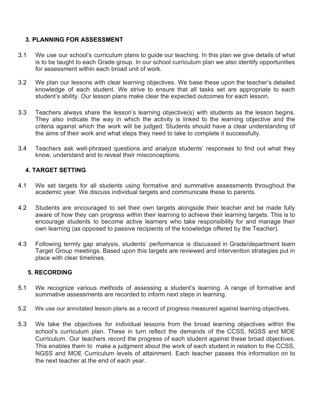### **3. PLANNING FOR ASSESSMENT**

- 3.1 We use our school's curriculum plans to guide our teaching. In this plan we give details of what is to be taught to each Grade group. In our school curriculum plan we also identify opportunities for assessment within each broad unit of work.
- 3.2 We plan our lessons with clear learning objectives. We base these upon the teacher's detailed knowledge of each student. We strive to ensure that all tasks set are appropriate to each student's ability. Our lesson plans make clear the expected outcomes for each lesson.
- 3.3 Teachers always share the lesson's learning objective(s) with students as the lesson begins. They also indicate the way in which the activity is linked to the learning objective and the criteria against which the work will be judged. Students should have a clear understanding of the aims of their work and what steps they need to take to complete it successfully.
- 3.4 Teachers ask well-phrased questions and analyze students' responses to find out what they know, understand and to reveal their misconceptions.

### **4. TARGET SETTING**

- 4.1 We set targets for all students using formative and summative assessments throughout the academic year. We discuss individual targets and communicate these to parents.
- 4.2 Students are encouraged to set their own targets alongside their teacher and be made fully aware of how they can progress within their learning to achieve their learning targets. This is to encourage students to become active learners who take responsibility for and manage their own learning (as opposed to passive recipients of the knowledge offered by the Teacher).
- 4.3 Following termly gap analysis, students' performance is discussed in Grade/department team Target Group meetings. Based upon this targets are reviewed and intervention strategies put in place with clear timelines.

#### **5. RECORDING**

- 5.1 We recognize various methods of assessing a student's learning. A range of formative and summative assessments are recorded to inform next steps in learning.
- 5.2 We use our annotated lesson plans as a record of progress measured against learning objectives.
- 5.3 We take the objectives for individual lessons from the broad learning objectives within the school's curriculum plan. These in turn reflect the demands of the CCSS, NGSS and MOE Curriculum. Our teachers record the progress of each student against these broad objectives. This enables them to make a judgment about the work of each student in relation to the CCSS, NGSS and MOE Curriculum levels of attainment. Each teacher passes this information on to the next teacher at the end of each year.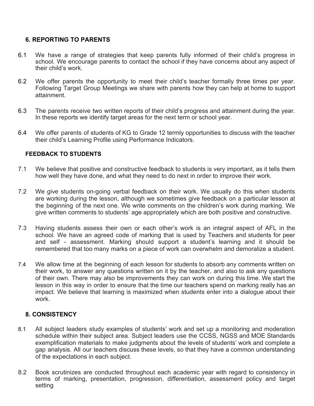# **6. REPORTING TO PARENTS**

- 6.1 We have a range of strategies that keep parents fully informed of their child's progress in school. We encourage parents to contact the school if they have concerns about any aspect of their child's work.
- 6.2 We offer parents the opportunity to meet their child's teacher formally three times per year. Following Target Group Meetings we share with parents how they can help at home to support attainment.
- 6.3 The parents receive two written reports of their child's progress and attainment during the year. In these reports we identify target areas for the next term or school year.
- 6.4 We offer parents of students of KG to Grade 12 termly opportunities to discuss with the teacher their child's Learning Profile using Performance Indicators.

### **FEEDBACK TO STUDENTS**

- 7.1 We believe that positive and constructive feedback to students is very important, as it tells them how well they have done, and what they need to do next in order to improve their work.
- 7.2 We give students on-going verbal feedback on their work. We usually do this when students are working during the lesson, although we sometimes give feedback on a particular lesson at the beginning of the next one. We write comments on the children's work during marking. We give written comments to students' age appropriately which are both positive and constructive.
- 7.3 Having students assess their own or each other's work is an integral aspect of AFL in the school. We have an agreed code of marking that is used by Teachers and students for peer and self - assessment. Marking should support a student's learning and it should be remembered that too many marks on a piece of work can overwhelm and demoralize a student.
- 7.4 We allow time at the beginning of each lesson for students to absorb any comments written on their work, to answer any questions written on it by the teacher, and also to ask any questions of their own. There may also be improvements they can work on during this time. We start the lesson in this way in order to ensure that the time our teachers spend on marking really has an impact. We believe that learning is maximized when students enter into a dialogue about their work.

# **8. CONSISTENCY**

- 8.1 All subject leaders study examples of students' work and set up a monitoring and moderation schedule within their subject area. Subject leaders use the CCSS, NGSS and MOE Standards exemplification materials to make judgments about the levels of students' work and complete a gap analysis. All our teachers discuss these levels, so that they have a common understanding of the expectations in each subject.
- 8.2 Book scrutinizes are conducted throughout each academic year with regard to consistency in terms of marking, presentation, progression, differentiation, assessment policy and target setting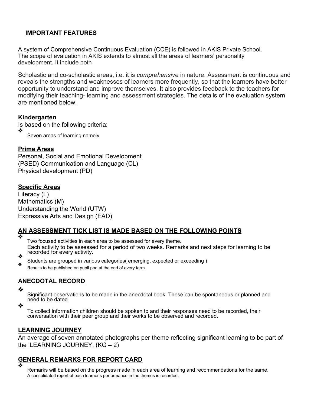# **IMPORTANT FEATURES**

A system of Comprehensive Continuous Evaluation (CCE) is followed in AKIS Private School. The scope of evaluation in AKIS extends to almost all the areas of learners' personality development. It include both

Scholastic and co-scholastic areas, i.e. it is *comprehensive* in nature. Assessment is continuous and reveals the strengths and weaknesses of learners more frequently, so that the learners have better opportunity to understand and improve themselves. It also provides feedback to the teachers for modifying their teaching- learning and assessment strategies. The details of the evaluation system are mentioned below.

### **Kindergarten**

Is based on the following criteria: ❖

Seven areas of learning namely

# **Prime Areas**

Personal, Social and Emotional Development (PSED) Communication and Language (CL) Physical development (PD)

# **Specific Areas**

Literacy (L) Mathematics (M) Understanding the World (UTW) Expressive Arts and Design (EAD)

# **AN ASSESSMENT TICK LIST IS MADE BASED ON THE FOLLOWING POINTS**

❖

Two focused activities in each area to be assessed for every theme. Each activity to be assessed for a period of two weeks. Remarks and next steps for learning to be ↓ recorded for every activity.

Students are grouped in various categories( emerging, expected or exceeding )

Results to be published on pupil pod at the end of every term.

# **ANECDOTAL RECORD**

❖

Significant observations to be made in the anecdotal book. These can be spontaneous or planned and need to be dated.

❖

To collect information children should be spoken to and their responses need to be recorded, their conversation with their peer group and their works to be observed and recorded.

#### **LEARNING JOURNEY**

An average of seven annotated photographs per theme reflecting significant learning to be part of the 'LEARNING JOURNEY. (KG – 2)

#### **GENERAL REMARKS FOR REPORT CARD** ❖

Remarks will be based on the progress made in each area of learning and recommendations for the same. A consolidated report of each learner's performance in the themes is recorded.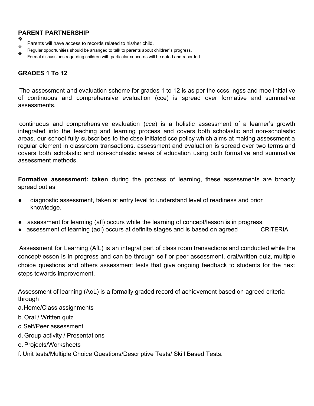# **PARENT PARTNERSHIP**

- ❖ Parents will have access to records related to his/her child. ❖
- Regular opportunities should be arranged to talk to parents about children's progress.
- Formal discussions regarding children with particular concerns will be dated and recorded.

# **GRADES 1 To 12**

The assessment and evaluation scheme for grades 1 to 12 is as per the ccss, ngss and moe initiative of continuous and comprehensive evaluation (cce) is spread over formative and summative assessments.

continuous and comprehensive evaluation (cce) is a holistic assessment of a learner's growth integrated into the teaching and learning process and covers both scholastic and non-scholastic areas. our school fully subscribes to the cbse initiated cce policy which aims at making assessment a regular element in classroom transactions. assessment and evaluation is spread over two terms and covers both scholastic and non-scholastic areas of education using both formative and summative assessment methods.

**Formative assessment: taken** during the process of learning, these assessments are broadly spread out as

- diagnostic assessment, taken at entry level to understand level of readiness and prior knowledge.
- assessment for learning (afl) occurs while the learning of concept/lesson is in progress.
- assessment of learning (aol) occurs at definite stages and is based on agreed CRITERIA

Assessment for Learning (AfL) is an integral part of class room transactions and conducted while the concept/lesson is in progress and can be through self or peer assessment, oral/written quiz, multiple choice questions and others assessment tests that give ongoing feedback to students for the next steps towards improvement.

Assessment of learning (AoL) is a formally graded record of achievement based on agreed criteria through

- a.Home/Class assignments
- b. Oral / Written quiz
- c.Self/Peer assessment
- d. Group activity / Presentations
- e. Projects/Worksheets
- f. Unit tests/Multiple Choice Questions/Descriptive Tests/ Skill Based Tests.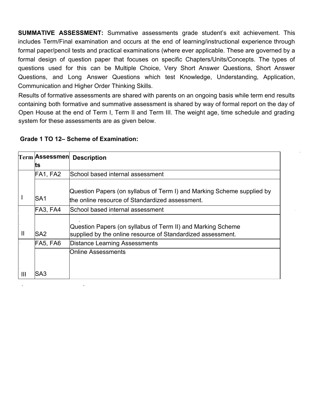**SUMMATIVE ASSESSMENT:** Summative assessments grade student's exit achievement. This includes Term/Final examination and occurs at the end of learning/instructional experience through formal paper/pencil tests and practical examinations (where ever applicable. These are governed by a formal design of question paper that focuses on specific Chapters/Units/Concepts. The types of questions used for this can be Multiple Choice, Very Short Answer Questions, Short Answer Questions, and Long Answer Questions which test Knowledge, Understanding, Application, Communication and Higher Order Thinking Skills.

Results of formative assessments are shared with parents on an ongoing basis while term end results containing both formative and summative assessment is shared by way of formal report on the day of Open House at the end of Term I, Term II and Term III. The weight age, time schedule and grading system for these assessments are as given below.

|  |  |  | Grade 1 TO 12- Scheme of Examination: |
|--|--|--|---------------------------------------|
|--|--|--|---------------------------------------|

|                | ∣Term ∣Assessmen∣ | <b>Description</b>                                                                                                         |
|----------------|-------------------|----------------------------------------------------------------------------------------------------------------------------|
|                | ts                |                                                                                                                            |
|                | FA1, FA2          | School based internal assessment                                                                                           |
|                | lSA1              | Question Papers (on syllabus of Term I) and Marking Scheme supplied by<br>the online resource of Standardized assessment.  |
|                | FA3, FA4          | School based internal assessment                                                                                           |
| $\mathbf l$    | SA <sub>2</sub>   | Question Papers (on syllabus of Term II) and Marking Scheme<br>supplied by the online resource of Standardized assessment. |
|                | FA5, FA6          | Distance Learning Assessments                                                                                              |
|                |                   | Online Assessments                                                                                                         |
| $\mathbf{III}$ | ISA3              |                                                                                                                            |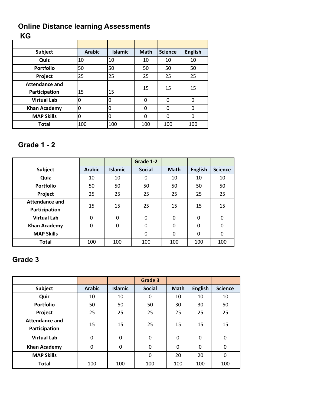# **Online Distance learning Assessments KG**

| <b>Subject</b>        | <b>Arabic</b> | Islamic | <b>Math</b>  | <b>Science</b> | <b>English</b> |  |
|-----------------------|---------------|---------|--------------|----------------|----------------|--|
| Quiz                  | 10            | 10      | 10           | 10             | 10             |  |
| <b>Portfolio</b>      | 50            | 50      | 50           | 50             | 50             |  |
| Project               | 25            | 25      | 25           | 25             | 25             |  |
| <b>Attendance and</b> |               |         | 15           | 15             | 15             |  |
| Participation         | 15            | 15      |              |                |                |  |
| <b>Virtual Lab</b>    | $\mathbf{0}$  | 0       | $\mathbf{0}$ | $\Omega$       | 0              |  |
| <b>Khan Academy</b>   | 0             | 0       | 0            | $\Omega$       | 0              |  |
| <b>MAP Skills</b>     | $\mathbf{0}$  | 0       | 0            | $\Omega$       | 0              |  |
| <b>Total</b>          | 100           | 100     | 100          | 100            | 100            |  |

# **Grade 1 - 2**

|                       |               |                | Grade 1-2     |              |                |                |
|-----------------------|---------------|----------------|---------------|--------------|----------------|----------------|
| <b>Subject</b>        | <b>Arabic</b> | <b>Islamic</b> | <b>Social</b> | <b>Math</b>  | <b>English</b> | <b>Science</b> |
| Quiz                  | 10            | 10             | $\Omega$      | 10           | 10             | 10             |
| <b>Portfolio</b>      | 50            | 50             | 50            | 50           | 50             | 50             |
| Project               | 25            | 25             | 25            | 25           | 25             | 25             |
| <b>Attendance and</b> | 15            | 15             | 25            | 15           | 15             | 15             |
| Participation         |               |                |               |              |                |                |
| <b>Virtual Lab</b>    | 0             | $\Omega$       | $\Omega$      | $\mathbf{0}$ | 0              | 0              |
| <b>Khan Academy</b>   | $\mathbf{0}$  | $\Omega$       | $\Omega$      | $\Omega$     | 0              | 0              |
| <b>MAP Skills</b>     |               |                | $\Omega$      | $\Omega$     | 0              | 0              |
| <b>Total</b>          | 100           | 100            | 100           | 100          | 100            | 100            |

# **Grade 3**

|                                        |               |                | Grade 3       |             |                |                |
|----------------------------------------|---------------|----------------|---------------|-------------|----------------|----------------|
| <b>Subject</b>                         | <b>Arabic</b> | <b>Islamic</b> | <b>Social</b> | <b>Math</b> | <b>English</b> | <b>Science</b> |
| Quiz                                   | 10            | 10             | 0             | 10          | 10             | 10             |
| <b>Portfolio</b>                       | 50            | 50             | 50            | 30          | 30             | 50             |
| Project                                | 25            | 25             | 25            | 25          | 25             | 25             |
| <b>Attendance and</b><br>Participation | 15            | 15             | 25            | 15          | 15             | 15             |
| <b>Virtual Lab</b>                     | $\Omega$      | $\Omega$       | 0             | 0           | $\Omega$       | 0              |
| <b>Khan Academy</b>                    | $\Omega$      | $\Omega$       | $\mathbf{0}$  | 0           | $\Omega$       | 0              |
| <b>MAP Skills</b>                      |               |                | 0             | 20          | 20             | $\Omega$       |
| <b>Total</b>                           | 100           | 100            | 100           | 100         | 100            | 100            |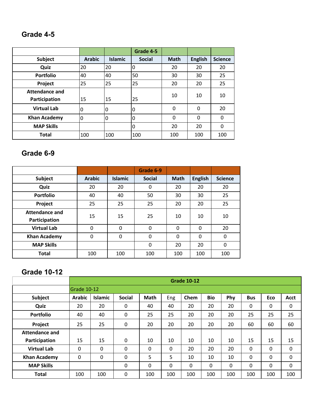# **Grade 4-5**

|                       |               |                | Grade 4-5     |             |                |                |
|-----------------------|---------------|----------------|---------------|-------------|----------------|----------------|
| <b>Subject</b>        | <b>Arabic</b> | <b>Islamic</b> | <b>Social</b> | <b>Math</b> | <b>English</b> | <b>Science</b> |
| Quiz                  | 20            | 20             | 0             | 20          | 20             | 20             |
| <b>Portfolio</b>      | 40            | 40             | 50            | 30          | 30             | 25             |
| Project               | 25            | 25             | 25            | 20          | 20             | 25             |
| <b>Attendance and</b> |               |                |               | 10          | 10             | 10             |
| Participation         | 15            | 15             | 25            |             |                |                |
| <b>Virtual Lab</b>    | 0             | 0              | 0             | 0           | 0              | 20             |
| <b>Khan Academy</b>   | $\Omega$      | 0              | 0             | 0           | 0              | 0              |
| <b>MAP Skills</b>     |               |                | 0             | 20          | 20             | 0              |
| <b>Total</b>          | 100           | 100            | 100           | 100         | 100            | 100            |

# **Grade 6-9**

|                       |               |                | Grade 6-9     |             |                |                |
|-----------------------|---------------|----------------|---------------|-------------|----------------|----------------|
| <b>Subject</b>        | <b>Arabic</b> | <b>Islamic</b> | <b>Social</b> | <b>Math</b> | <b>English</b> | <b>Science</b> |
| Quiz                  | 20            | 20             | 0             | 20          | 20             | 20             |
| <b>Portfolio</b>      | 40            | 40             | 50            | 30          | 30             | 25             |
| Project               | 25            | 25             | 25            | 20          | 20             | 25             |
| <b>Attendance and</b> | 15            | 15             | 25            | 10          | 10             | 10             |
| Participation         |               |                |               |             |                |                |
| <b>Virtual Lab</b>    | $\Omega$      | $\Omega$       | 0             | $\Omega$    | $\Omega$       | 20             |
| <b>Khan Academy</b>   | $\Omega$      | $\Omega$       | 0             | $\Omega$    | $\Omega$       | 0              |
| <b>MAP Skills</b>     |               |                | 0             | 20          | 20             | $\Omega$       |
| <b>Total</b>          | 100           | 100            | 100           | 100         | 100            | 100            |

# **Grade 10-12**

|                       | <b>Grade 10-12</b> |                |               |      |     |      |            |              |            |          |      |
|-----------------------|--------------------|----------------|---------------|------|-----|------|------------|--------------|------------|----------|------|
|                       |                    | Grade 10-12    |               |      |     |      |            |              |            |          |      |
| Subject               | <b>Arabic</b>      | <b>Islamic</b> | <b>Social</b> | Math | Eng | Chem | <b>Bio</b> | Phy          | <b>Bus</b> | Eco      | Acct |
| Quiz                  | 20                 | 20             | 0             | 40   | 40  | 20   | 20         | 20           | 0          | 0        | 0    |
| <b>Portfolio</b>      | 40                 | 40             | 0             | 25   | 25  | 20   | 20         | 20           | 25         | 25       | 25   |
| Project               | 25                 | 25             | 0             | 20   | 20  | 20   | 20         | 20           | 60         | 60       | 60   |
| <b>Attendance and</b> |                    |                |               |      |     |      |            |              |            |          |      |
| Participation         | 15                 | 15             | $\Omega$      | 10   | 10  | 10   | 10         | 10           | 15         | 15       | 15   |
| <b>Virtual Lab</b>    | 0                  | 0              | 0             | 0    | 0   | 20   | 20         | 20           | 0          | 0        | 0    |
| <b>Khan Academy</b>   | 0                  | 0              | 0             | 5    | 5   | 10   | 10         | 10           | 0          | 0        | 0    |
| <b>MAP Skills</b>     |                    |                | 0             | 0    | 0   | 0    | 0          | $\mathbf{0}$ | $\Omega$   | $\Omega$ | 0    |
| <b>Total</b>          | 100                | 100            | 0             | 100  | 100 | 100  | 100        | 100          | 100        | 100      | 100  |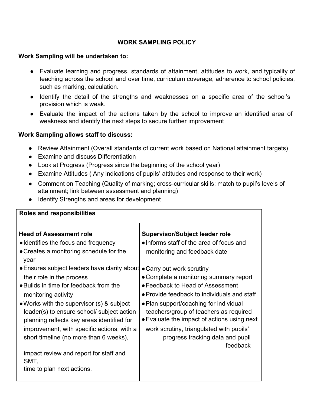# **WORK SAMPLING POLICY**

#### **Work Sampling will be undertaken to:**

- Evaluate learning and progress, standards of attainment, attitudes to work, and typicality of teaching across the school and over time, curriculum coverage, adherence to school policies, such as marking, calculation.
- Identify the detail of the strengths and weaknesses on a specific area of the school's provision which is weak.
- Evaluate the impact of the actions taken by the school to improve an identified area of weakness and identify the next steps to secure further improvement

### **Work Sampling allows staff to discuss:**

- Review Attainment (Overall standards of current work based on National attainment targets)
- Examine and discuss Differentiation
- Look at Progress (Progress since the beginning of the school year)
- Examine Attitudes ( Any indications of pupils' attitudes and response to their work)
- Comment on Teaching (Quality of marking; cross-curricular skills; match to pupil's levels of attainment; link between assessment and planning)
- Identify Strengths and areas for development

| <b>Roles and responsibilities</b>                                                                                                     |                                                                                                                                 |
|---------------------------------------------------------------------------------------------------------------------------------------|---------------------------------------------------------------------------------------------------------------------------------|
| <b>Head of Assessment role</b>                                                                                                        | <b>Supervisor/Subject leader role</b>                                                                                           |
| • Identifies the focus and frequency                                                                                                  | • Informs staff of the area of focus and                                                                                        |
| • Creates a monitoring schedule for the<br>year                                                                                       | monitoring and feedback date                                                                                                    |
| • Ensures subject leaders have clarity about                                                                                          | • Carry out work scrutiny                                                                                                       |
| their role in the process                                                                                                             | • Complete a monitoring summary report                                                                                          |
| • Builds in time for feedback from the                                                                                                | • Feedback to Head of Assessment                                                                                                |
| monitoring activity                                                                                                                   | • Provide feedback to individuals and staff                                                                                     |
| • Works with the supervisor (s) & subject<br>leader(s) to ensure school/ subject action<br>planning reflects key areas identified for | • Plan support/coaching for individual<br>teachers/group of teachers as required<br>• Evaluate the impact of actions using next |
| improvement, with specific actions, with a<br>short timeline (no more than 6 weeks),                                                  | work scrutiny, triangulated with pupils'<br>progress tracking data and pupil<br>feedback                                        |
| impact review and report for staff and<br>SMT,                                                                                        |                                                                                                                                 |
| time to plan next actions.                                                                                                            |                                                                                                                                 |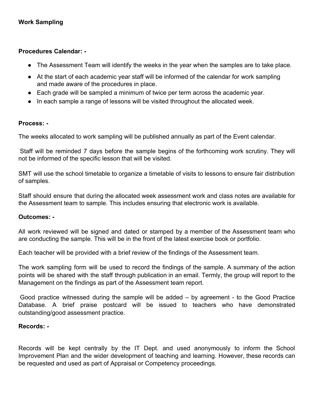### **Procedures Calendar: -**

- The Assessment Team will identify the weeks in the year when the samples are to take place.
- At the start of each academic year staff will be informed of the calendar for work sampling and made aware of the procedures in place.
- Each grade will be sampled a minimum of twice per term across the academic year.
- In each sample a range of lessons will be visited throughout the allocated week.

#### **Process: -**

The weeks allocated to work sampling will be published annually as part of the Event calendar.

Staff will be reminded 7 days before the sample begins of the forthcoming work scrutiny. They will not be informed of the specific lesson that will be visited.

SMT will use the school timetable to organize a timetable of visits to lessons to ensure fair distribution of samples.

Staff should ensure that during the allocated week assessment work and class notes are available for the Assessment team to sample. This includes ensuring that electronic work is available.

#### **Outcomes: -**

All work reviewed will be signed and dated or stamped by a member of the Assessment team who are conducting the sample. This will be in the front of the latest exercise book or portfolio.

Each teacher will be provided with a brief review of the findings of the Assessment team.

The work sampling form will be used to record the findings of the sample. A summary of the action points will be shared with the staff through publication in an email. Termly, the group will report to the Management on the findings as part of the Assessment team report.

Good practice witnessed during the sample will be added – by agreement - to the Good Practice Database. A brief praise postcard will be issued to teachers who have demonstrated outstanding/good assessment practice.

#### **Records: -**

Records will be kept centrally by the IT Dept. and used anonymously to inform the School Improvement Plan and the wider development of teaching and learning. However, these records can be requested and used as part of Appraisal or Competency proceedings.